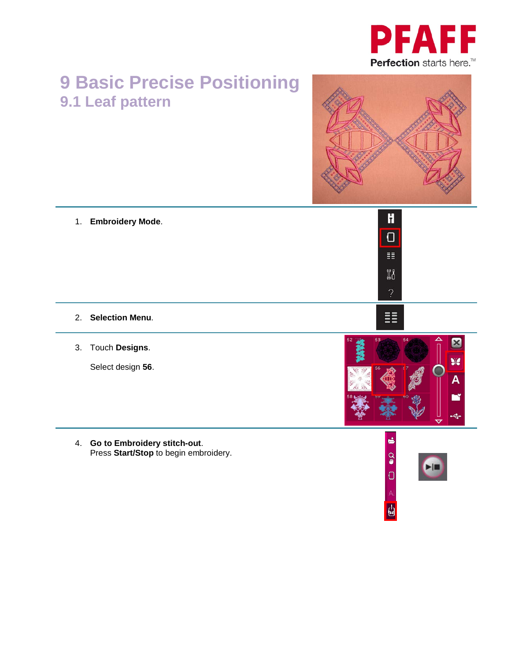

## **9 Basic Precise Positioning 9.1 Leaf pattern**



- $\mathbf{H}$ 1. **Embroidery Mode**.  $\overline{\mathbf{C}}$ 手  $\mathbb{N}^q$ 嚚 2. **Selection Menu**.  $\mathbf{Z}$ 3. Touch **Designs**. Sie Select design **56**.  $\overline{\mathbf{A}}$ Гĭ
	- 4. **Go to Embroidery stitch-out**. Press **Start/Stop** to begin embroidery.



É

 $\Omega$ 

 $\cup$ 

÷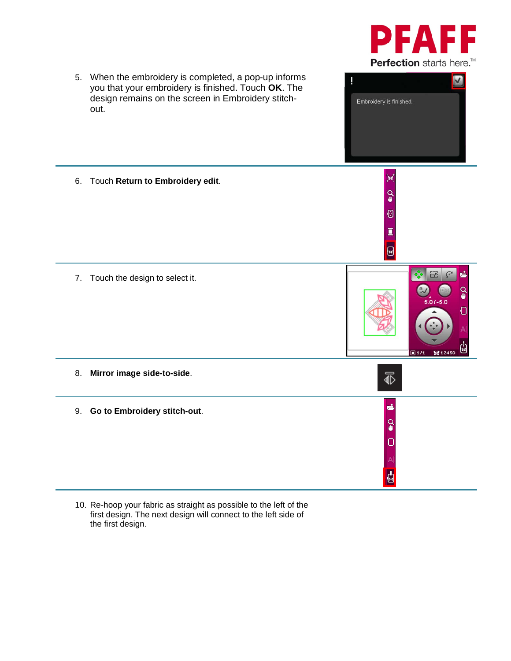



10. Re-hoop your fabric as straight as possible to the left of the first design. The next design will connect to the left side of the first design.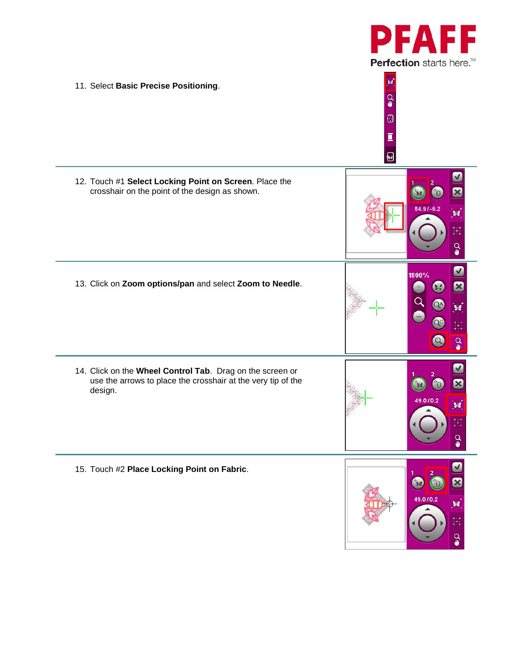

 $\checkmark$  $\boldsymbol{\mathbb{E}}$ 

 $\mathbf{y}$ 

 $\ddot{t}$ 

 $\Omega$ 

M

図

 $\mathbf{v}$ 

 $^{++}_{++}$ 

 $\overline{Q}$ 

 $\blacktriangledown$  $\mathbf{z}$ 

¥

 $\begin{smallmatrix} + & + & + \\ + & + & + \end{smallmatrix}$ 

 $\mathbf{Q}$ 

 $\vee$  $\mathbf{x}$ 

¥

 $\begin{array}{c} + \rightarrow + \\ + \rightarrow + \end{array}$ 

 $\Omega$ 

мÎ 11. Select **Basic Precise Positioning**.  $Q_{\bullet}$  $\odot$  $\bar{\mathbb{I}}$ ø 12. Touch #1 **Select Locking Point on Screen**. Place the crosshair on the point of the design as shown. 1800% 13. Click on **Zoom options/pan** and select **Zoom to Needle**. 53  $\alpha$ 14. Click on the **Wheel Control Tab**. Drag on the screen or use the arrows to place the crosshair at the very tip of the Sie,  $^{\circ}$ o design. 49.070.2 15. Touch #2 **Place Locking Point on Fabric**. 490102